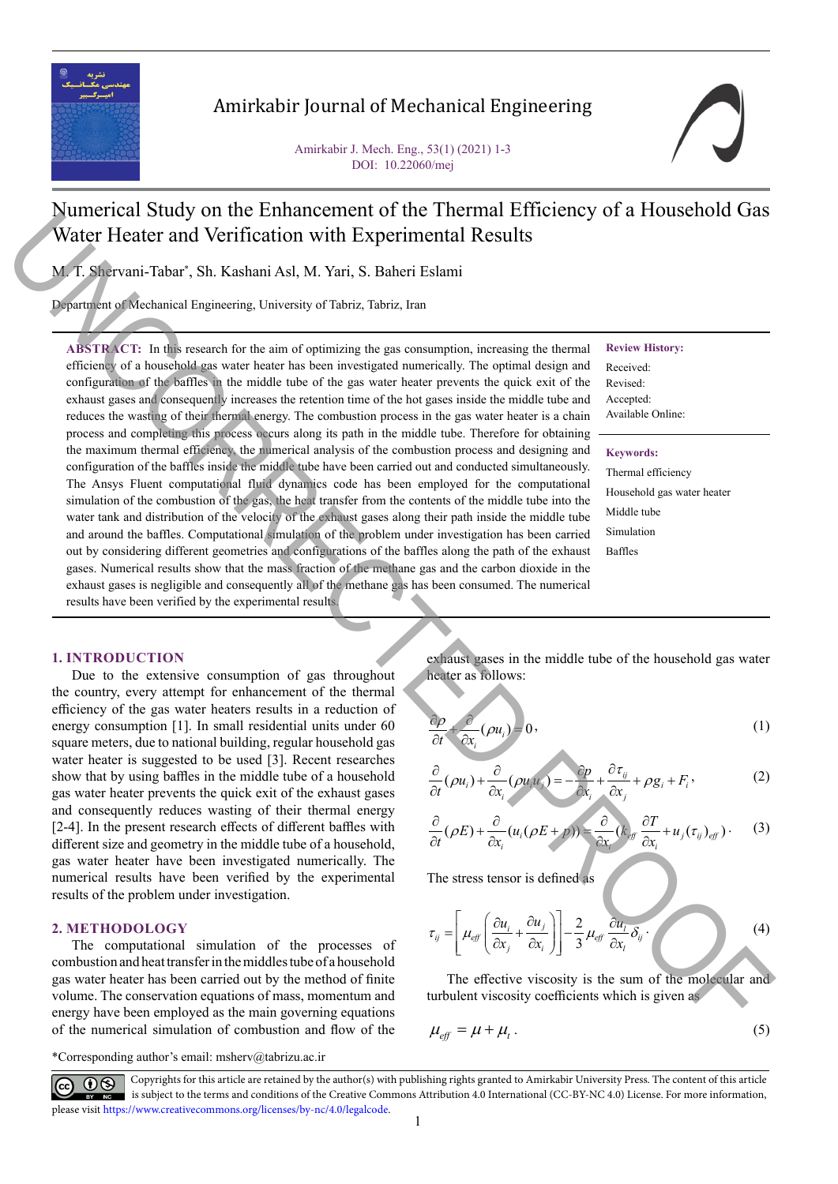

# Amirkabir Journal of Mechanical Engineering

Amirkabir J. Mech. Eng., 53(1) (2021) 1-3 DOI: 10.22060/mej

# Numerical Study on the Enhancement of the Thermal Efficiency of a Household Gas Water Heater and Verification with Experimental Results

M. T. Shervani-Tabar\*, Sh. Kashani Asl, M. Yari, S. Baheri Eslami

Department of Mechanical Engineering, University of Tabriz, Tabriz, Iran

**ABSTRACT:** In this research for the aim of optimizing the gas consumption, increasing the thermal efficiency of a household gas water heater has been investigated numerically. The optimal design and configuration of the baffles in the middle tube of the gas water heater prevents the quick exit of the exhaust gases and consequently increases the retention time of the hot gases inside the middle tube and reduces the wasting of their thermal energy. The combustion process in the gas water heater is a chain process and completing this process occurs along its path in the middle tube. Therefore for obtaining the maximum thermal efficiency, the numerical analysis of the combustion process and designing and configuration of the baffles inside the middle tube have been carried out and conducted simultaneously. The Ansys Fluent computational fluid dynamics code has been employed for the computational simulation of the combustion of the gas, the heat transfer from the contents of the middle tube into the water tank and distribution of the velocity of the exhaust gases along their path inside the middle tube and around the baffles. Computational simulation of the problem under investigation has been carried out by considering different geometries and configurations of the baffles along the path of the exhaust gases. Numerical results show that the mass fraction of the methane gas and the carbon dioxide in the exhaust gases is negligible and consequently all of the methane gas has been consumed. The numerical results have been verified by the experimental results. **Statistical** Statistical Control Control Control Control Control Control Control Control Control Control Control Control Control Control Control Control Control Control Control Control Control Control Control Control Con

#### **Review History:**

Received: Revised: Accepted: Available Online:

#### **Keywords:**

Thermal efficiency Household gas water heater Middle tube Simulation Baffles

**1. INTRODUCTION**

Due to the extensive consumption of gas throughout the country, every attempt for enhancement of the thermal efficiency of the gas water heaters results in a reduction of energy consumption [1]. In small residential units under 60 square meters, due to national building, regular household gas water heater is suggested to be used [3]. Recent researches show that by using baffles in the middle tube of a household gas water heater prevents the quick exit of the exhaust gases and consequently reduces wasting of their thermal energy [2-4]. In the present research effects of different baffles with different size and geometry in the middle tube of a household, gas water heater have been investigated numerically. The numerical results have been verified by the experimental results of the problem under investigation.

#### **2. METHODOLOGY**

The computational simulation of the processes of combustion and heat transfer in the middles tube of a household gas water heater has been carried out by the method of finite volume. The conservation equations of mass, momentum and energy have been employed as the main governing equations of the numerical simulation of combustion and flow of the

exhaust gases in the middle tube of the household gas water heater as follows:

$$
\frac{\partial \rho}{\partial t} + \frac{\partial}{\partial x_i} (\rho u_i) = 0, \tag{1}
$$

$$
\frac{\partial}{\partial t}(\rho u_i) + \frac{\partial}{\partial x_i}(\rho u_i u_i) = -\frac{\partial p}{\partial x_i} + \frac{\partial \tau_{ij}}{\partial x_j} + \rho g_i + F_i,
$$
 (2)

$$
\frac{\partial}{\partial t}(\rho E) + \frac{\partial}{\partial x_i} (u_i(\rho E + p)) = \frac{\partial}{\partial x_i} (k_{eff} \frac{\partial T}{\partial x_i} + u_j (\tau_{ij})_{eff}). \tag{3}
$$

The stress tensor is defined as

$$
\tau_{ij} = \left[ \mu_{\text{eff}} \left( \frac{\partial u_i}{\partial x_j} + \frac{\partial u_j}{\partial x_i} \right) \right] - \frac{2}{3} \mu_{\text{eff}} \frac{\partial u_i}{\partial x_i} \delta_{ij} \tag{4}
$$

The effective viscosity is the sum of the molecular and turbulent viscosity coefficients which is given as

$$
\mu_{\text{eff}} = \mu + \mu_t \,. \tag{5}
$$

\*Corresponding author's email: msherv@tabrizu.ac.ir

Copyrights for this article are retained by the author(s) with publishing rights granted to Amirkabir University Press. The content of this article is subject to the terms and conditions of the Creative Commons Attribution 4.0 International (CC-BY-NC 4.0) License. For more information, please visit https://www.creativecommons.org/licenses/by-nc/4.0/legalcode.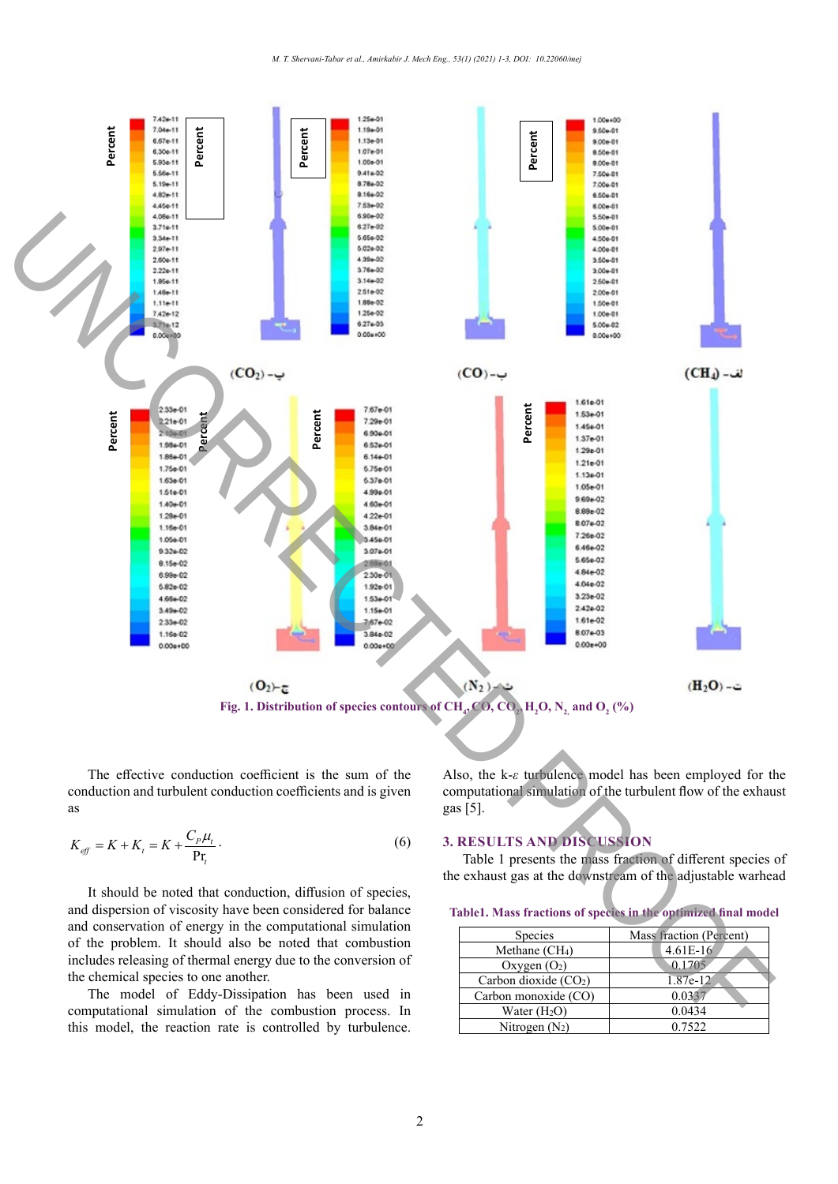

The effective conduction coefficient is the sum of the conduction and turbulent conduction coefficients and is given as

$$
K_{\text{eff}} = K + K_{t} = K + \frac{C_{P}\mu_{t}}{\text{Pr}_{t}}.
$$
\n
$$
(6)
$$

It should be noted that conduction, diffusion of species, and dispersion of viscosity have been considered for balance and conservation of energy in the computational simulation of the problem. It should also be noted that combustion includes releasing of thermal energy due to the conversion of the chemical species to one another.

The model of Eddy-Dissipation has been used in computational simulation of the combustion process. In this model, the reaction rate is controlled by turbulence.

Also, the k-*ε* turbulence model has been employed for the computational simulation of the turbulent flow of the exhaust gas [5].

### **3. RESULTS AND DISCUSSION**

Table 1 presents the mass fraction of different species of the exhaust gas at the downstream of the adjustable warhead

**Table1. Mass fractions of species in the optimized final model**

| Species                    | Mass fraction (Percent) |
|----------------------------|-------------------------|
| Methane (CH <sub>4</sub> ) | $4.61E-16$              |
| Oxygen $(O_2)$             | 0.1705                  |
| Carbon dioxide $(CO2)$     | 1.87e-12                |
| Carbon monoxide (CO)       | 0.0337                  |
| Water $(H2O)$              | 0.0434                  |
| Nitrogen $(N_2)$           | 0.7522                  |